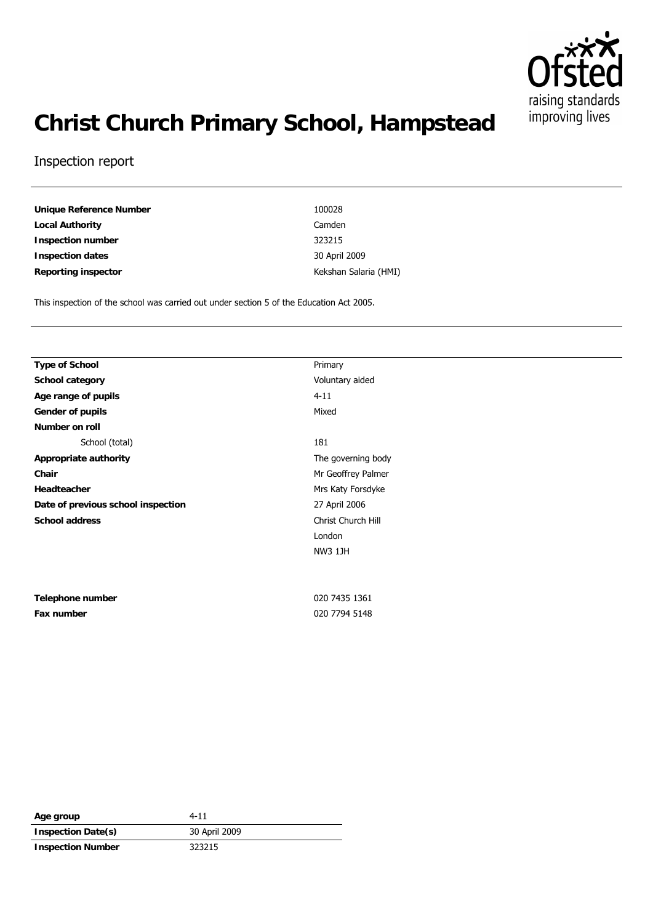

# **Christ Church Primary School, Hampstead**

#### Inspection report

| Unique Reference Number | 100028   |
|-------------------------|----------|
| Local Authority         | Camden   |
| Inspection number       | 323215   |
| Inspection dates        | 30 April |
| Reporting inspector     | Kekshan  |

**Inspection dates** 30 April 2009 Kekshan Salaria (HMI)

This inspection of the school was carried out under section 5 of the Education Act 2005.

| Type of School                     | Primary            |  |
|------------------------------------|--------------------|--|
| School category                    | Voluntary aided    |  |
| Age range of pupils                | $4 - 11$           |  |
| Gender of pupils                   | Mixed              |  |
| Number on roll                     |                    |  |
| School (total)                     | 181                |  |
| Appropriate authority              | The governing body |  |
| Chair                              | Mr Geoffrey Palmer |  |
| Headteacher                        | Mrs Katy Forsdyke  |  |
| Date of previous school inspection | 27 April 2006      |  |
| School address                     | Christ Church Hill |  |
|                                    | London             |  |
|                                    | <b>NW3 1JH</b>     |  |
|                                    |                    |  |
|                                    |                    |  |
| Telephone number                   | 020 7435 1361      |  |
| Fax number                         | 020 7794 5148      |  |
|                                    |                    |  |

| Age group                | $4 - 11$      |
|--------------------------|---------------|
| Inspection Date(s)       | 30 April 2009 |
| <b>Inspection Number</b> | 323215        |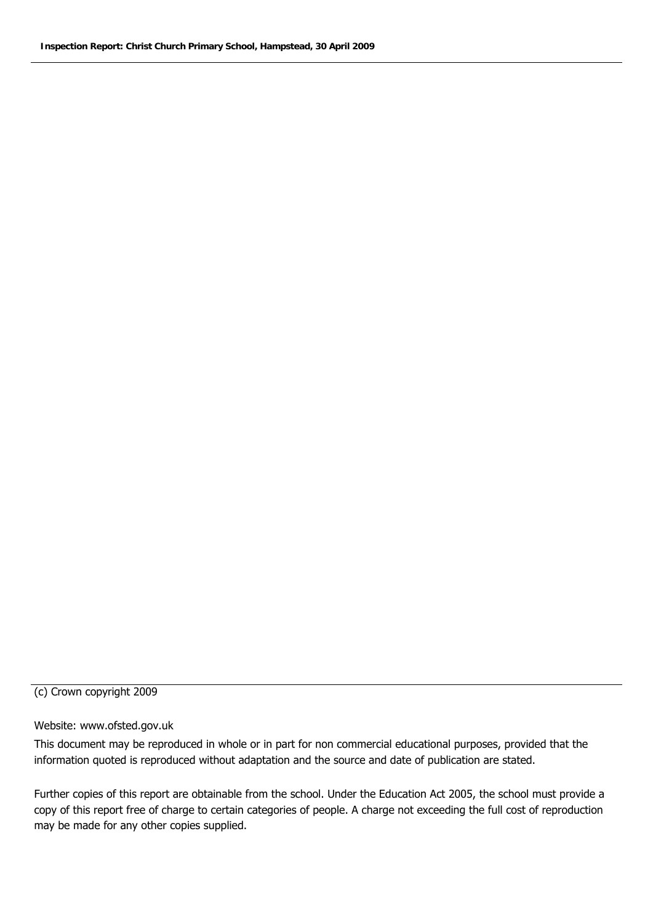#### (c) Crown copyright 2009

#### Website: www.ofsted.gov.uk

This document may be reproduced in whole or in part for non commercial educational purposes, provided that the information quoted is reproduced without adaptation and the source and date of publication are stated.

Further copies of this report are obtainable from the school. Under the Education Act 2005, the school must provide a copy of this report free of charge to certain categories of people. A charge not exceeding the full cost of reproduction may be made for any other copies supplied.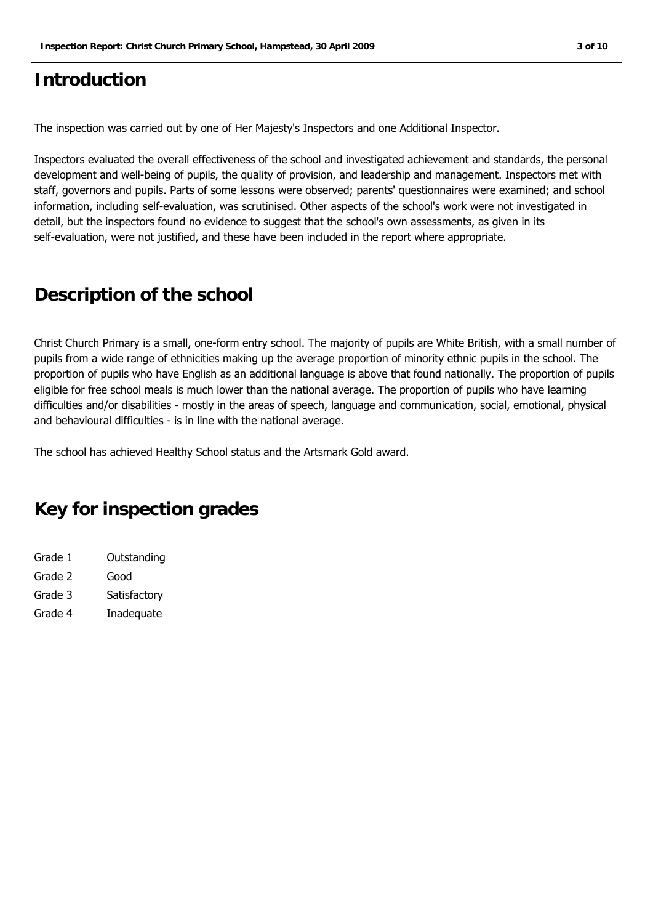## **Introduction**

The inspection was carried out by one of Her Majesty's Inspectors and one Additional Inspector.

Inspectors evaluated the overall effectiveness of the school and investigated achievement and standards, the personal development and well-being of pupils, the quality of provision, and leadership and management. Inspectors met with staff, governors and pupils. Parts of some lessons were observed; parents' questionnaires were examined; and school information, including self-evaluation, was scrutinised. Other aspects of the school's work were not investigated in detail, but the inspectors found no evidence to suggest that the school's own assessments, as given in its self-evaluation, were not justified, and these have been included in the report where appropriate.

## **Description of the school**

Christ Church Primary is a small, one-form entry school. The majority of pupils are White British, with a small number of pupils from a wide range of ethnicities making up the average proportion of minority ethnic pupils in the school. The proportion of pupils who have English as an additional language is above that found nationally. The proportion of pupils eligible for free school meals is much lower than the national average. The proportion of pupils who have learning difficulties and/or disabilities - mostly in the areas of speech, language and communication, social, emotional, physical and behavioural difficulties - is in line with the national average.

The school has achieved Healthy School status and the Artsmark Gold award.

## **Key for inspection grades**

| Grade 1 | Outstanding  |
|---------|--------------|
| Grade 2 | Good         |
| Grade 3 | Satisfactory |
| Grade 4 | Inadequate   |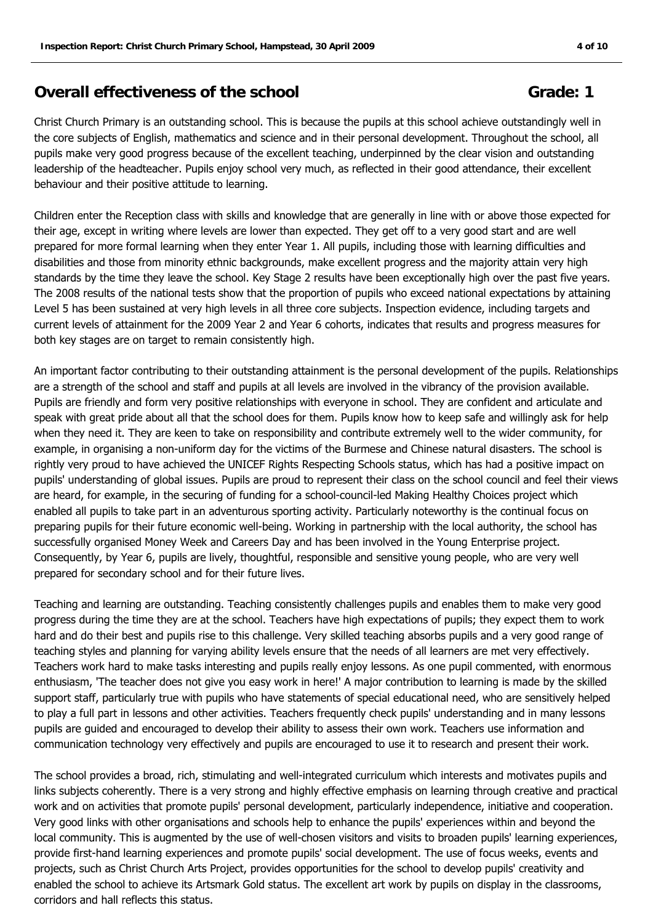## **Overall effectiveness of the school Grade: 1 Grade: 1**

Christ Church Primary is an outstanding school. This is because the pupils at this school achieve outstandingly well in the core subjects of English, mathematics and science and in their personal development. Throughout the school, all pupils make very good progress because of the excellent teaching, underpinned by the clear vision and outstanding leadership of the headteacher. Pupils enjoy school very much, as reflected in their good attendance, their excellent behaviour and their positive attitude to learning.

Children enter the Reception class with skills and knowledge that are generally in line with or above those expected for their age, except in writing where levels are lower than expected. They get off to a very good start and are well prepared for more formal learning when they enter Year 1. All pupils, including those with learning difficulties and disabilities and those from minority ethnic backgrounds, make excellent progress and the majority attain very high standards by the time they leave the school. Key Stage 2 results have been exceptionally high over the past five years. The 2008 results of the national tests show that the proportion of pupils who exceed national expectations by attaining Level 5 has been sustained at very high levels in all three core subjects. Inspection evidence, including targets and current levels of attainment for the 2009 Year 2 and Year 6 cohorts, indicates that results and progress measures for both key stages are on target to remain consistently high.

An important factor contributing to their outstanding attainment is the personal development of the pupils. Relationships are a strength of the school and staff and pupils at all levels are involved in the vibrancy of the provision available. Pupils are friendly and form very positive relationships with everyone in school. They are confident and articulate and speak with great pride about all that the school does for them. Pupils know how to keep safe and willingly ask for help when they need it. They are keen to take on responsibility and contribute extremely well to the wider community, for example, in organising a non-uniform day for the victims of the Burmese and Chinese natural disasters. The school is rightly very proud to have achieved the UNICEF Rights Respecting Schools status, which has had a positive impact on pupils' understanding of global issues. Pupils are proud to represent their class on the school council and feel their views are heard, for example, in the securing of funding for a school-council-led Making Healthy Choices project which enabled all pupils to take part in an adventurous sporting activity. Particularly noteworthy is the continual focus on preparing pupils for their future economic well-being. Working in partnership with the local authority, the school has successfully organised Money Week and Careers Day and has been involved in the Young Enterprise project. Consequently, by Year 6, pupils are lively, thoughtful, responsible and sensitive young people, who are very well prepared for secondary school and for their future lives.

Teaching and learning are outstanding. Teaching consistently challenges pupils and enables them to make very good progress during the time they are at the school. Teachers have high expectations of pupils; they expect them to work hard and do their best and pupils rise to this challenge. Very skilled teaching absorbs pupils and a very good range of teaching styles and planning for varying ability levels ensure that the needs of all learners are met very effectively. Teachers work hard to make tasks interesting and pupils really enjoy lessons. As one pupil commented, with enormous enthusiasm, 'The teacher does not give you easy work in here!' A major contribution to learning is made by the skilled support staff, particularly true with pupils who have statements of special educational need, who are sensitively helped to play a full part in lessons and other activities. Teachers frequently check pupils' understanding and in many lessons pupils are guided and encouraged to develop their ability to assess their own work. Teachers use information and communication technology very effectively and pupils are encouraged to use it to research and present their work.

The school provides a broad, rich, stimulating and well-integrated curriculum which interests and motivates pupils and links subjects coherently. There is a very strong and highly effective emphasis on learning through creative and practical work and on activities that promote pupils' personal development, particularly independence, initiative and cooperation. Very good links with other organisations and schools help to enhance the pupils' experiences within and beyond the local community. This is augmented by the use of well-chosen visitors and visits to broaden pupils' learning experiences, provide first-hand learning experiences and promote pupils' social development. The use of focus weeks, events and projects, such as Christ Church Arts Project, provides opportunities for the school to develop pupils' creativity and enabled the school to achieve its Artsmark Gold status. The excellent art work by pupils on display in the classrooms, corridors and hall reflects this status.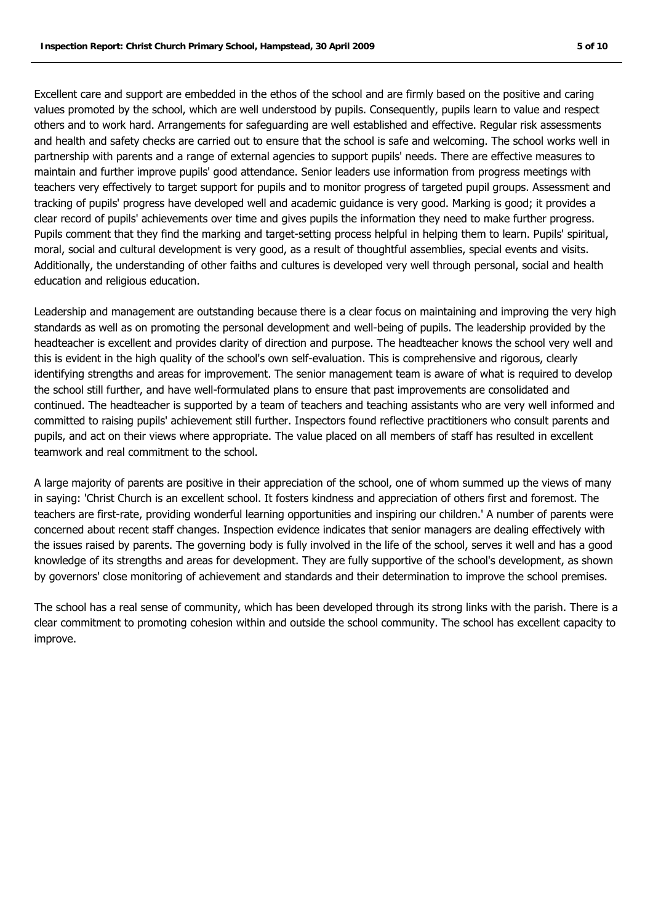Excellent care and support are embedded in the ethos of the school and are firmly based on the positive and caring values promoted by the school, which are well understood by pupils. Consequently, pupils learn to value and respect others and to work hard. Arrangements for safeguarding are well established and effective. Regular risk assessments and health and safety checks are carried out to ensure that the school is safe and welcoming. The school works well in partnership with parents and a range of external agencies to support pupils' needs. There are effective measures to maintain and further improve pupils' good attendance. Senior leaders use information from progress meetings with teachers very effectively to target support for pupils and to monitor progress of targeted pupil groups. Assessment and tracking of pupils' progress have developed well and academic guidance is very good. Marking is good; it provides a clear record of pupils' achievements over time and gives pupils the information they need to make further progress. Pupils comment that they find the marking and target-setting process helpful in helping them to learn. Pupils' spiritual, moral, social and cultural development is very good, as a result of thoughtful assemblies, special events and visits. Additionally, the understanding of other faiths and cultures is developed very well through personal, social and health education and religious education.

Leadership and management are outstanding because there is a clear focus on maintaining and improving the very high standards as well as on promoting the personal development and well-being of pupils. The leadership provided by the headteacher is excellent and provides clarity of direction and purpose. The headteacher knows the school very well and this is evident in the high quality of the school's own self-evaluation. This is comprehensive and rigorous, clearly identifying strengths and areas for improvement. The senior management team is aware of what is required to develop the school still further, and have well-formulated plans to ensure that past improvements are consolidated and continued. The headteacher is supported by a team of teachers and teaching assistants who are very well informed and committed to raising pupils' achievement still further. Inspectors found reflective practitioners who consult parents and pupils, and act on their views where appropriate. The value placed on all members of staff has resulted in excellent teamwork and real commitment to the school.

A large majority of parents are positive in their appreciation of the school, one of whom summed up the views of many in saying: 'Christ Church is an excellent school. It fosters kindness and appreciation of others first and foremost. The teachers are first-rate, providing wonderful learning opportunities and inspiring our children.' A number of parents were concerned about recent staff changes. Inspection evidence indicates that senior managers are dealing effectively with the issues raised by parents. The governing body is fully involved in the life of the school, serves it well and has a good knowledge of its strengths and areas for development. They are fully supportive of the school's development, as shown by governors' close monitoring of achievement and standards and their determination to improve the school premises.

The school has a real sense of community, which has been developed through its strong links with the parish. There is a clear commitment to promoting cohesion within and outside the school community. The school has excellent capacity to improve.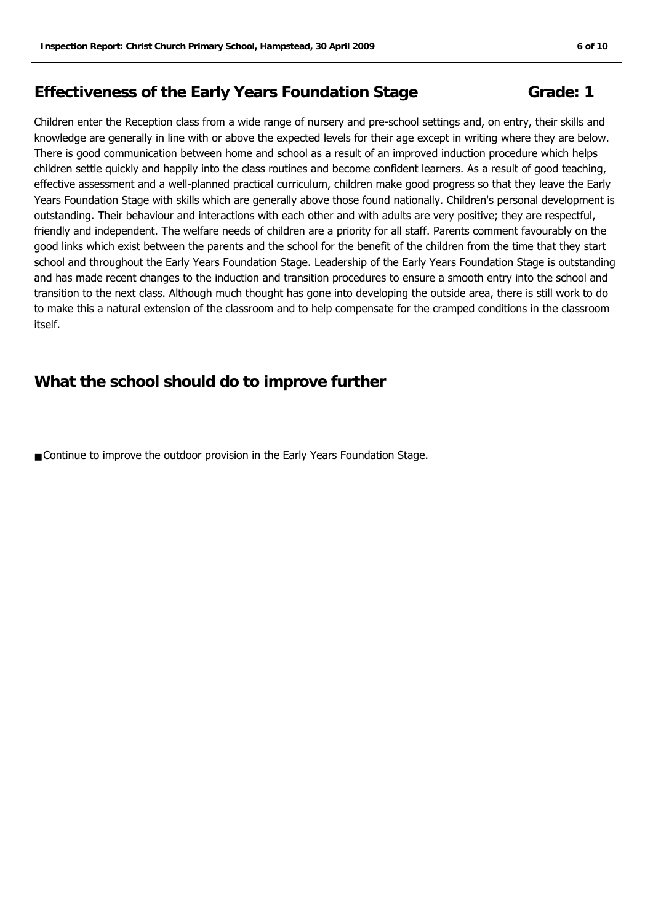## **Effectiveness of the Early Years Foundation Stage Grade: 1**

Children enter the Reception class from a wide range of nursery and pre-school settings and, on entry, their skills and knowledge are generally in line with or above the expected levels for their age except in writing where they are below. There is good communication between home and school as a result of an improved induction procedure which helps children settle quickly and happily into the class routines and become confident learners. As a result of good teaching, effective assessment and a well-planned practical curriculum, children make good progress so that they leave the Early Years Foundation Stage with skills which are generally above those found nationally. Children's personal development is outstanding. Their behaviour and interactions with each other and with adults are very positive; they are respectful, friendly and independent. The welfare needs of children are a priority for all staff. Parents comment favourably on the good links which exist between the parents and the school for the benefit of the children from the time that they start school and throughout the Early Years Foundation Stage. Leadership of the Early Years Foundation Stage is outstanding and has made recent changes to the induction and transition procedures to ensure a smooth entry into the school and transition to the next class. Although much thought has gone into developing the outside area, there is still work to do to make this a natural extension of the classroom and to help compensate for the cramped conditions in the classroom itself.

#### **What the school should do to improve further**

■ Continue to improve the outdoor provision in the Early Years Foundation Stage.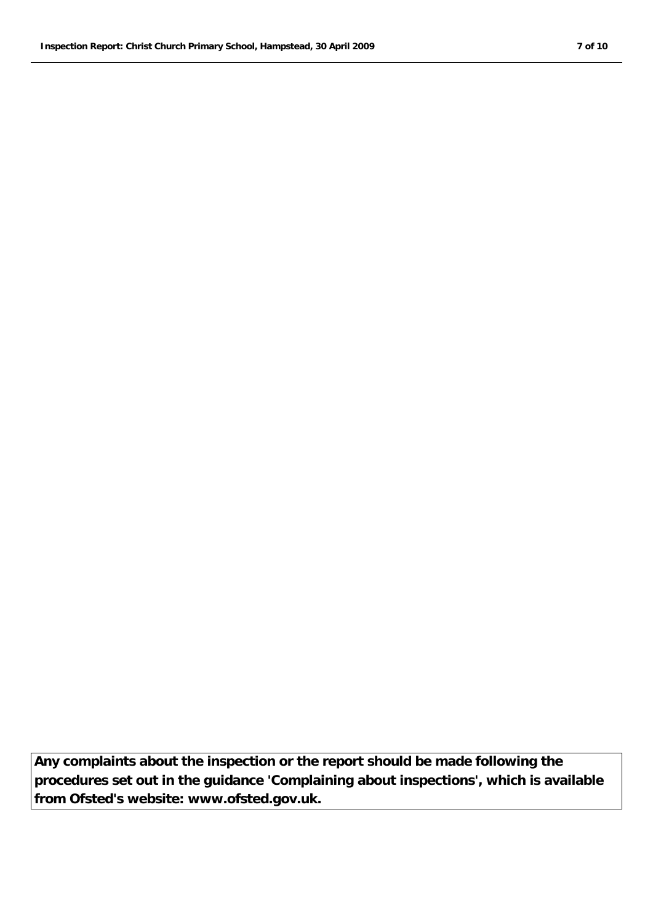**Any complaints about the inspection or the report should be made following the procedures set out in the guidance 'Complaining about inspections', which is available from Ofsted's website: www.ofsted.gov.uk.**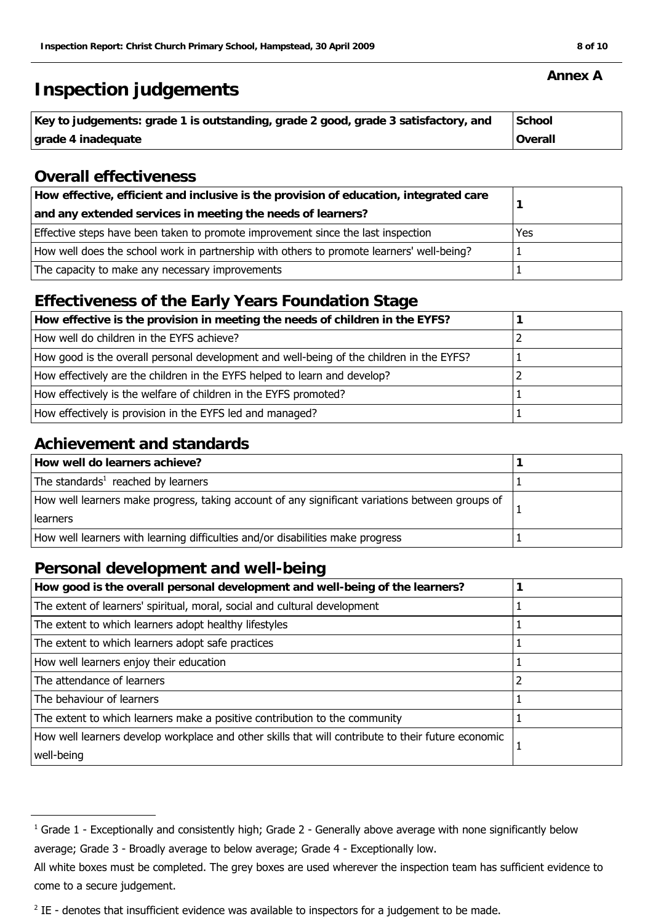## **Inspection judgements**

| Key to judgements: grade 1 is outstanding, grade 2 good, grade 3 satisfactory, and | School  |
|------------------------------------------------------------------------------------|---------|
| grade 4 inadequate                                                                 | Overall |

## **Overall effectiveness**

| How effective, efficient and inclusive is the provision of education, integrated care     |     |
|-------------------------------------------------------------------------------------------|-----|
| and any extended services in meeting the needs of learners?                               |     |
| Effective steps have been taken to promote improvement since the last inspection          | Yes |
| How well does the school work in partnership with others to promote learners' well-being? |     |
| The capacity to make any necessary improvements                                           |     |

## **Effectiveness of the Early Years Foundation Stage**

## **Achievement and standards**

| How well do learners achieve?                                                                   |  |
|-------------------------------------------------------------------------------------------------|--|
| The standards <sup>1</sup> reached by learners                                                  |  |
| How well learners make progress, taking account of any significant variations between groups of |  |
| learners                                                                                        |  |
| How well learners with learning difficulties and/or disabilities make progress                  |  |

## **Personal development and well-being**

| How good is the overall personal development and well-being of the learners?                       |  |
|----------------------------------------------------------------------------------------------------|--|
| The extent of learners' spiritual, moral, social and cultural development                          |  |
| The extent to which learners adopt healthy lifestyles                                              |  |
| The extent to which learners adopt safe practices                                                  |  |
| How well learners enjoy their education                                                            |  |
| The attendance of learners                                                                         |  |
| The behaviour of learners                                                                          |  |
| The extent to which learners make a positive contribution to the community                         |  |
| How well learners develop workplace and other skills that will contribute to their future economic |  |
| well-being                                                                                         |  |

#### **Annex A**

 $^1$  Grade 1 - Exceptionally and consistently high; Grade 2 - Generally above average with none significantly below average; Grade 3 - Broadly average to below average; Grade 4 - Exceptionally low.

All white boxes must be completed. The grey boxes are used wherever the inspection team has sufficient evidence to come to a secure judgement.

 $2$  IE - denotes that insufficient evidence was available to inspectors for a judgement to be made.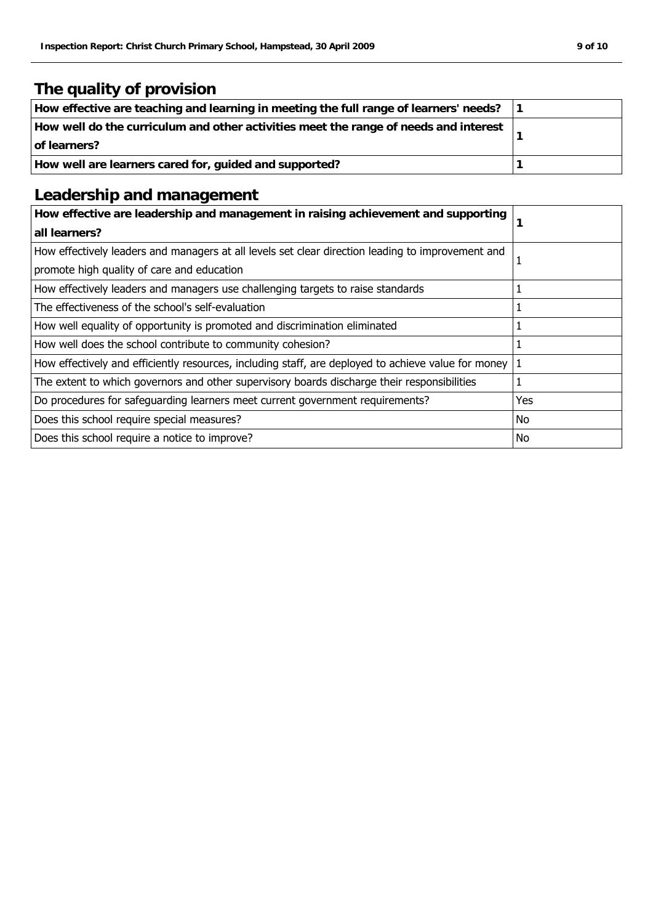## **The quality of provision**

| How effective are teaching and learning in meeting the full range of learners' needs?                |  |
|------------------------------------------------------------------------------------------------------|--|
| How well do the curriculum and other activities meet the range of needs and interest<br>of learners? |  |
| How well are learners cared for, guided and supported?                                               |  |

## **Leadership and management**

| How effective are leadership and management in raising achievement and supporting<br>all learners?  |     |
|-----------------------------------------------------------------------------------------------------|-----|
| How effectively leaders and managers at all levels set clear direction leading to improvement and   |     |
| promote high quality of care and education                                                          |     |
| How effectively leaders and managers use challenging targets to raise standards                     |     |
| The effectiveness of the school's self-evaluation                                                   |     |
| How well equality of opportunity is promoted and discrimination eliminated                          |     |
| How well does the school contribute to community cohesion?                                          |     |
| How effectively and efficiently resources, including staff, are deployed to achieve value for money |     |
| The extent to which governors and other supervisory boards discharge their responsibilities         |     |
| Do procedures for safeguarding learners meet current government requirements?                       | Yes |
| Does this school require special measures?                                                          | No  |
| Does this school require a notice to improve?                                                       | No  |